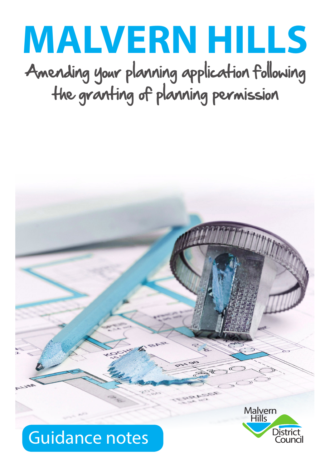# **MALVERN HILLS**

Amending your planning application following the granting of planning permission

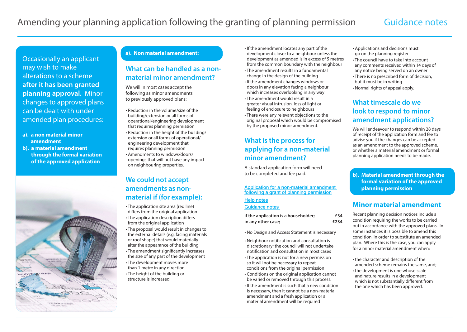Occasionally an applicant may wish to make alterations to a scheme **after it has been granted planning approval.** Minor changes to approved plans can be dealt with under amended plan procedures:

- **a). a non material minor amendment**
- **b). a material amendment through the formal variation of the approved application**



## **a). Non material amendment:**

# **What can be handled as a nonmaterial minor amendment?**

We will in most cases accept the following as minor amendments to previously approved plans:

- Reduction in the volume/size of the building/extension or all forms of operational/engineering development that requires planning permission
- Reduction in the height of the building/ extension or all forms of operational/ engineering development that requires planning permission
- Amendments to windows/doors/ openings that will not have any impact on neighbouring properties.

# **We could not accept amendments as nonmaterial if (for example):**

- The application site area (red line) differs from the original application • The application description differs from the original application
- The proposal would result in changes to the external details (e.g. facing materials or roof shape) that would materially alter the appearance of the building
- The amendment significantly increases the size of any part of the development • The development moves more
- than 1 metre in any direction • The height of the building or
- structure is increased.
- If the amendment locates any part of the development closer to a neighbour unless the development as amended is in excess of 5 metres from the common boundary with the neighbour
- The amendment results in a fundamental change in the design of the building
- If the amendment changes windows or doors in any elevation facing a neighbour which increases overlooking in any way
- The amendment would result in a greater visual intrusion, loss of light or feeling of enclosure to neighbours
- There were any relevant objections to the original proposal which would be compromised by the proposed minor amendment.

# **What is the process for applying for a non-material minor amendment?**

A standard application form will need to be completed and fee paid.

### [Application for a non-material amendment](https://ecab.planningportal.co.uk/uploads/appPDF/J1860Form034_england_en.pdf)  [following a grant of planning permission](https://ecab.planningportal.co.uk/uploads/appPDF/J1860Form034_england_en.pdf)

[Help notes](https://www.malvernhills.gov.uk/documents/10586/8513984/Non+Material+Amendment+Notes.pdf/5e64c16e-d0e0-7370-b3fe-d19e2f87c908)

[Guidance notes](https://www.malvernhills.gov.uk/documents/10586/8513984/Non+Material+Amendment+Notes.pdf/5e64c16e-d0e0-7370-b3fe-d19e2f87c908) 

| if the application is a householder; | £34  |
|--------------------------------------|------|
| in any other case;                   | £234 |

- No Design and Access Statement is necessary
- Neighbour notification and consultation is discretionary; the council will not undertake notification and consultation in most cases
- The application is not for a new permission so it will not be necessary to repeat conditions from the original permission
- Conditions on the original application cannot be varied or removed through this process.
- If the amendment is such that a new condition is necessary, then it cannot be a non-material amendment and a fresh application or a material amendment will be required
- Applications and decisions must go on the planning register
- The council have to take into account any comments received within 14 days of any notice being served on an owner
- There is no prescribed form of decision, but it must be in writing
- Normal rights of appeal apply.

# **What timescale do we look to respond to minor amendment applications?**

We will endeavour to respond within 28 days of receipt of the application form and fee to advise you if the changes can be accepted as an amendment to the approved scheme, or whether a material amendment or formal planning application needs to be made.

## **b). Material amendment through the formal variation of the approved planning permission**

## **Minor material amendment**

Recent planning decision notices include a condition requiring the works to be carried out in accordance with the approved plans. In some instances it is possible to amend this condition, in order to substitute an amended plan. Where this is the case, you can apply for a minor material amendment when:

- the character and description of the amended scheme remains the same, and;
- the development is one whose scale and nature results in a development which is not substantially different from the one which has been approved.